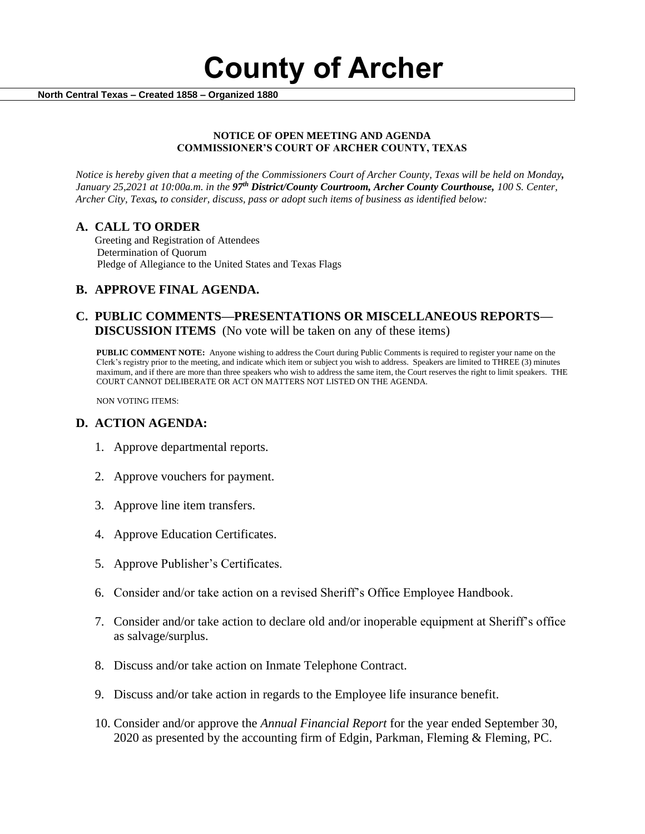**County of Archer** 

 **North Central Texas – Created 1858 – Organized 1880**

### **NOTICE OF OPEN MEETING AND AGENDA COMMISSIONER'S COURT OF ARCHER COUNTY, TEXAS**

*Notice is hereby given that a meeting of the Commissioners Court of Archer County, Texas will be held on Monday, January 25,2021 at 10:00a.m. in the 97th District/County Courtroom, Archer County Courthouse, 100 S. Center, Archer City, Texas, to consider, discuss, pass or adopt such items of business as identified below:*

## **A. CALL TO ORDER**

 Greeting and Registration of Attendees Determination of Quorum Pledge of Allegiance to the United States and Texas Flags

## **B. APPROVE FINAL AGENDA.**

## **C. PUBLIC COMMENTS—PRESENTATIONS OR MISCELLANEOUS REPORTS— DISCUSSION ITEMS** (No vote will be taken on any of these items)

**PUBLIC COMMENT NOTE:** Anyone wishing to address the Court during Public Comments is required to register your name on the Clerk's registry prior to the meeting, and indicate which item or subject you wish to address. Speakers are limited to THREE (3) minutes maximum, and if there are more than three speakers who wish to address the same item, the Court reserves the right to limit speakers. THE COURT CANNOT DELIBERATE OR ACT ON MATTERS NOT LISTED ON THE AGENDA.

NON VOTING ITEMS:

## **D. ACTION AGENDA:**

- 1. Approve departmental reports.
- 2. Approve vouchers for payment.
- 3. Approve line item transfers.
- 4. Approve Education Certificates.
- 5. Approve Publisher's Certificates.
- 6. Consider and/or take action on a revised Sheriff's Office Employee Handbook.
- 7. Consider and/or take action to declare old and/or inoperable equipment at Sheriff's office as salvage/surplus.
- 8. Discuss and/or take action on Inmate Telephone Contract.
- 9. Discuss and/or take action in regards to the Employee life insurance benefit.
- 10. Consider and/or approve the *Annual Financial Report* for the year ended September 30, 2020 as presented by the accounting firm of Edgin, Parkman, Fleming & Fleming, PC.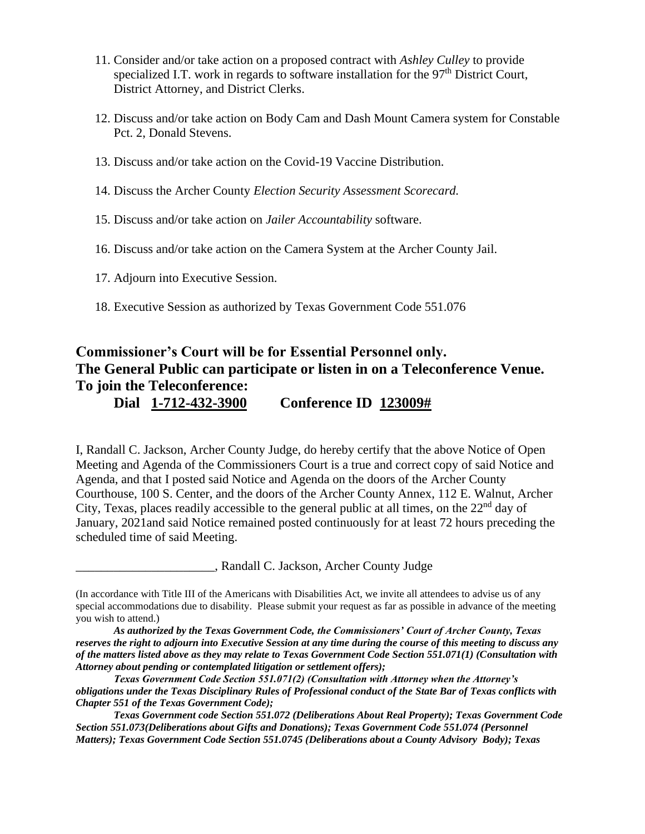- 11. Consider and/or take action on a proposed contract with *Ashley Culley* to provide specialized I.T. work in regards to software installation for the  $97<sup>th</sup>$  District Court, District Attorney, and District Clerks.
- 12. Discuss and/or take action on Body Cam and Dash Mount Camera system for Constable Pct. 2, Donald Stevens.
- 13. Discuss and/or take action on the Covid-19 Vaccine Distribution.
- 14. Discuss the Archer County *Election Security Assessment Scorecard.*
- 15. Discuss and/or take action on *Jailer Accountability* software.
- 16. Discuss and/or take action on the Camera System at the Archer County Jail.
- 17. Adjourn into Executive Session.
- 18. Executive Session as authorized by Texas Government Code 551.076

# **Commissioner's Court will be for Essential Personnel only. The General Public can participate or listen in on a Teleconference Venue. To join the Teleconference:**

**Dial 1-712-432-3900 Conference ID 123009#**

I, Randall C. Jackson, Archer County Judge, do hereby certify that the above Notice of Open Meeting and Agenda of the Commissioners Court is a true and correct copy of said Notice and Agenda, and that I posted said Notice and Agenda on the doors of the Archer County Courthouse, 100 S. Center, and the doors of the Archer County Annex, 112 E. Walnut, Archer City, Texas, places readily accessible to the general public at all times, on the  $22<sup>nd</sup>$  day of January, 2021and said Notice remained posted continuously for at least 72 hours preceding the scheduled time of said Meeting.

\_\_\_\_\_\_\_\_\_\_\_\_\_\_\_\_\_\_\_\_\_\_, Randall C. Jackson, Archer County Judge

<sup>(</sup>In accordance with Title III of the Americans with Disabilities Act, we invite all attendees to advise us of any special accommodations due to disability. Please submit your request as far as possible in advance of the meeting you wish to attend.)

*As authorized by the Texas Government Code, the Commissioners' Court of Archer County, Texas reserves the right to adjourn into Executive Session at any time during the course of this meeting to discuss any of the matters listed above as they may relate to Texas Government Code Section 551.071(1) (Consultation with Attorney about pending or contemplated litigation or settlement offers);*

*Texas Government Code Section 551.071(2) (Consultation with Attorney when the Attorney's obligations under the Texas Disciplinary Rules of Professional conduct of the State Bar of Texas conflicts with Chapter 551 of the Texas Government Code);*

*Texas Government code Section 551.072 (Deliberations About Real Property); Texas Government Code Section 551.073(Deliberations about Gifts and Donations); Texas Government Code 551.074 (Personnel Matters); Texas Government Code Section 551.0745 (Deliberations about a County Advisory Body); Texas*